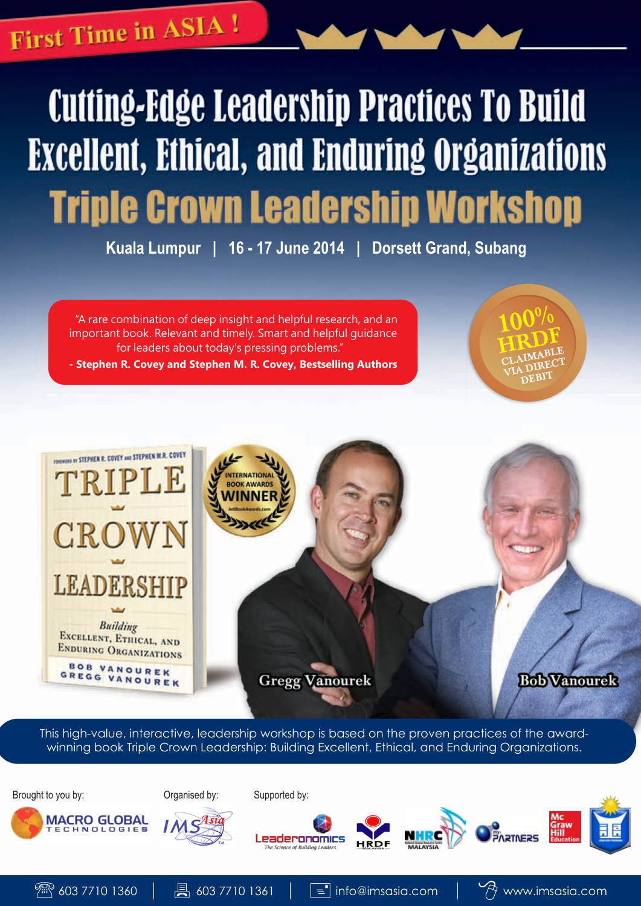## **First Time in ASIA!**

# **Cutting-Edge Leadership Practices To Build Excellent, Ethical, and Enduring Organizations Triple Crown Leadership Workshop**

**Kuala Lumpur | 16 - 17 June 2014 | Dorsett Grand, Subang**

"A rare combination of deep insight and helpful research, and an important book. Relevant and timely. Smart and helpful guidance for leaders about today's pressing problems."

**- Stephen R. Covey and Stephen M. R. Covey, Bestselling Authors**



This high-value, interactive, leadership workshop is based on the proven practices of the awardwinning book Triple Crown Leadership: Building Excellent, Ethical, and Enduring Organizations.

Brought to you by: Organised by: Supported by:















 $100\%$ 

HRDF CLAIMABLE CLAIMECT DEBIT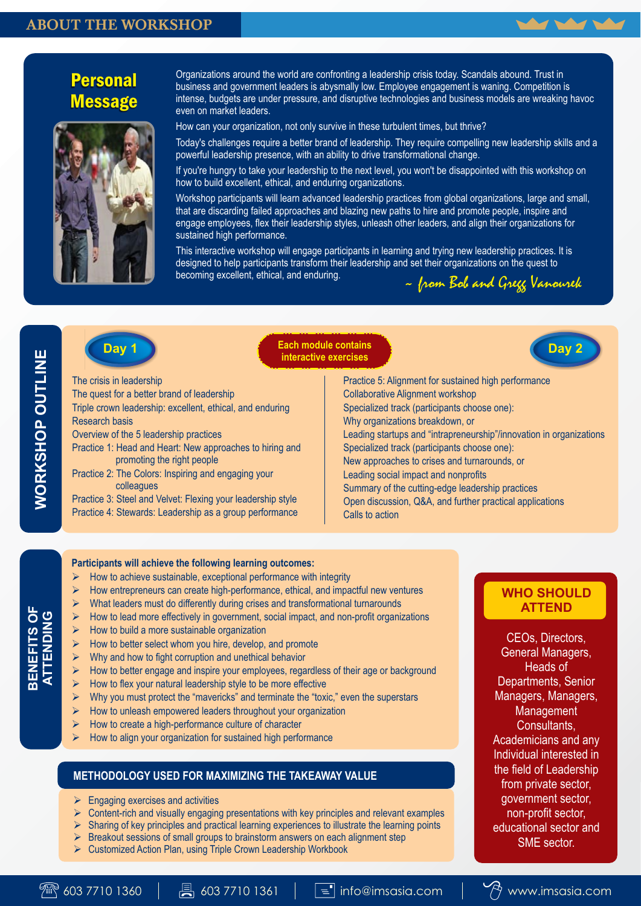### ABOUT THE WORKSHOP



## Personal **Message**



Organizations around the world are confronting a leadership crisis today. Scandals abound. Trust in business and government leaders is abysmally low. Employee engagement is waning. Competition is intense, budgets are under pressure, and disruptive technologies and business models are wreaking havoc even on market leaders.

How can your organization, not only survive in these turbulent times, but thrive?

Today's challenges require a better brand of leadership. They require compelling new leadership skills and a powerful leadership presence, with an ability to drive transformational change.

If you're hungry to take your leadership to the next level, you won't be disappointed with this workshop on how to build excellent, ethical, and enduring organizations.

Workshop participants will learn advanced leadership practices from global organizations, large and small, that are discarding failed approaches and blazing new paths to hire and promote people, inspire and engage employees, flex their leadership styles, unleash other leaders, and align their organizations for sustained high performance.

This interactive workshop will engage participants in learning and trying new leadership practices. It is designed to help participants transform their leadership and set their organizations on the quest to becoming excellent, ethical, and enduring. ~ from Bob and Gregg Vanourek



**Day 1 Day 2 Day 2 Day 2 interactive exercises**



The crisis in leadership

**WORKSHOP OUTLINE**

*NORKSHOP OUTLINE* 

**BENEFITS OF ATTENDING** The quest for a better brand of leadership

Triple crown leadership: excellent, ethical, and enduring Research basis

Overview of the 5 leadership practices

- Practice 1: Head and Heart: New approaches to hiring and promoting the right people
- Practice 2: The Colors: Inspiring and engaging your colleagues

Practice 3: Steel and Velvet: Flexing your leadership style Practice 4: Stewards: Leadership as a group performance

Practice 5: Alignment for sustained high performance Collaborative Alignment workshop Specialized track (participants choose one): Why organizations breakdown, or Leading startups and "intrapreneurship"/innovation in organizations Specialized track (participants choose one): New approaches to crises and turnarounds, or Leading social impact and nonprofits Summary of the cutting-edge leadership practices Open discussion, Q&A, and further practical applications Calls to action

#### **Participants will achieve the following learning outcomes:**

- How to achieve sustainable, exceptional performance with integrity
- How entrepreneurs can create high-performance, ethical, and impactful new ventures
- What leaders must do differently during crises and transformational turnarounds
- $\triangleright$  How to lead more effectively in government, social impact, and non-profit organizations
- $\triangleright$  How to build a more sustainable organization
- $\triangleright$  How to better select whom you hire, develop, and promote
- $\triangleright$  Why and how to fight corruption and unethical behavior
- $\triangleright$  How to better engage and inspire your employees, regardless of their age or background
- $\triangleright$  How to flex your natural leadership style to be more effective
- $\triangleright$  Why you must protect the "mavericks" and terminate the "toxic," even the superstars
- $\triangleright$  How to unleash empowered leaders throughout your organization
- How to create a high-performance culture of character
- $\triangleright$  How to align your organization for sustained high performance

#### **METHODOLOGY USED FOR MAXIMIZING THE TAKEAWAY VALUE**

- $\triangleright$  Engaging exercises and activities
- $\triangleright$  Content-rich and visually engaging presentations with key principles and relevant examples
- $\triangleright$  Sharing of key principles and practical learning experiences to illustrate the learning points
- $\triangleright$  Breakout sessions of small groups to brainstorm answers on each alignment step
- Ø Customized Action Plan, using Triple Crown Leadership Workbook



CEOs, Directors, General Managers, Heads of Departments, Senior Managers, Managers, **Management** Consultants, Academicians and any Individual interested in the field of Leadership from private sector, government sector, non-profit sector, educational sector and SME sector.

**WHO SHOULD ATTEND**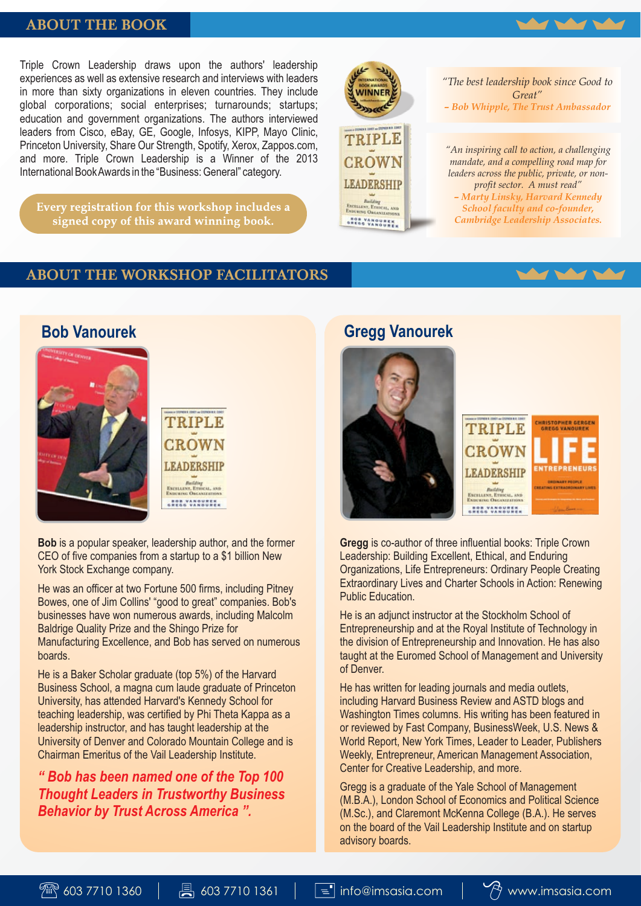#### ABOUT THE BOOK

Triple Crown Leadership draws upon the authors' leadership experiences as well as extensive research and interviews with leaders in more than sixty organizations in eleven countries. They include global corporations; social enterprises; turnarounds; startups; education and government organizations. The authors interviewed leaders from Cisco, eBay, GE, Google, Infosys, KIPP, Mayo Clinic, Princeton University, Share Our Strength, Spotify, Xerox, Zappos.com, and more. Triple Crown Leadership is a Winner of the 2013 International Book Awards in the "Business: General" category.

Every registration for this workshop includes a signed copy of this award winning book.



*"The best leadership book since Good to Great" – Bob Whipple, The Trust Ambassador* 

*"An inspiring call to action, a challenging mandate, and a compelling road map for leaders across the public, private, or nonprofit sector. A must read"*

*– Marty Linsky, Harvard Kennedy School faculty and co-founder, Cambridge Leadership Associates.*

## ABOUT THE WORKSHOP FACILITATORS

## **Bob Vanourek**



TRIPLE CROWN **LEADERSHIP** 

**BOR VANOURER**<br>GREGG VANOURER

**Bob** is a popular speaker, leadership author, and the former CEO of five companies from a startup to a \$1 billion New York Stock Exchange company.

He was an officer at two Fortune 500 firms, including Pitney Bowes, one of Jim Collins' "good to great" companies. Bob's businesses have won numerous awards, including Malcolm Baldrige Quality Prize and the Shingo Prize for Manufacturing Excellence, and Bob has served on numerous boards.

He is a Baker Scholar graduate (top 5%) of the Harvard Business School, a magna cum laude graduate of Princeton University, has attended Harvard's Kennedy School for teaching leadership, was certified by Phi Theta Kappa as a leadership instructor, and has taught leadership at the University of Denver and Colorado Mountain College and is Chairman Emeritus of the Vail Leadership Institute.

*" Bob has been named one of the Top 100 Thought Leaders in Trustworthy Business Behavior by Trust Across America ".*

## **Gregg Vanourek**



**Gregg** is co-author of three influential books: Triple Crown Leadership: Building Excellent, Ethical, and Enduring Organizations, Life Entrepreneurs: Ordinary People Creating Extraordinary Lives and Charter Schools in Action: Renewing Public Education.

He is an adjunct instructor at the Stockholm School of Entrepreneurship and at the Royal Institute of Technology in the division of Entrepreneurship and Innovation. He has also taught at the Euromed School of Management and University of Denver.

He has written for leading journals and media outlets, including Harvard Business Review and ASTD blogs and Washington Times columns. His writing has been featured in or reviewed by Fast Company, BusinessWeek, U.S. News & World Report, New York Times, Leader to Leader, Publishers Weekly, Entrepreneur, American Management Association, Center for Creative Leadership, and more.

Gregg is a graduate of the Yale School of Management (M.B.A.), London School of Economics and Political Science (M.Sc.), and Claremont McKenna College (B.A.). He serves on the board of the Vail Leadership Institute and on startup advisory boards.

 $P\rightarrow \infty$ 3 7710 1360  $\Box$   $\Box$  603 7710 1361  $\Box$   $\Box$  info@imsasia.com  $\Box$   $\partial$  www.imsasia.com